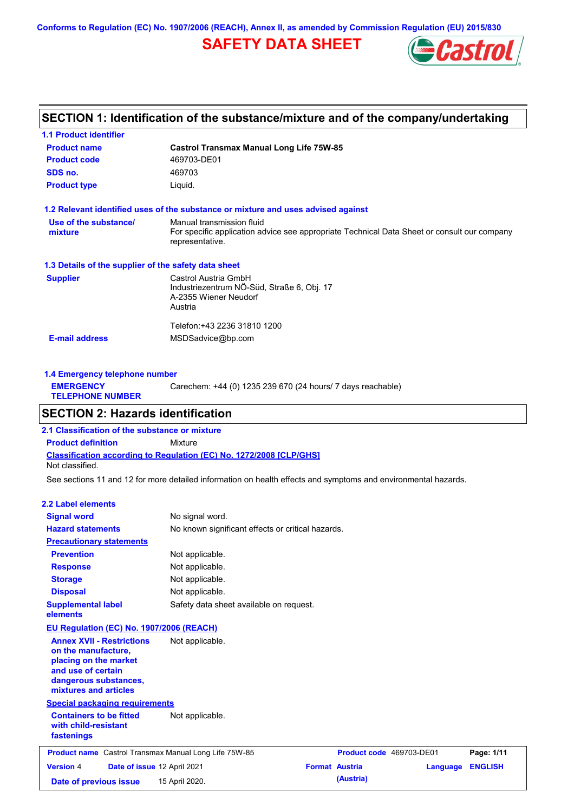**Conforms to Regulation (EC) No. 1907/2006 (REACH), Annex II, as amended by Commission Regulation (EU) 2015/830**

# **SAFETY DATA SHEET**



# **SECTION 1: Identification of the substance/mixture and of the company/undertaking**

| <b>1.1 Product identifier</b>                        |                                                                                                                |
|------------------------------------------------------|----------------------------------------------------------------------------------------------------------------|
| <b>Product name</b>                                  | <b>Castrol Transmax Manual Long Life 75W-85</b>                                                                |
| <b>Product code</b>                                  | 469703-DE01                                                                                                    |
| SDS no.                                              | 469703                                                                                                         |
| <b>Product type</b>                                  | Liquid.                                                                                                        |
|                                                      | 1.2 Relevant identified uses of the substance or mixture and uses advised against                              |
| Use of the substance/                                | Manual transmission fluid                                                                                      |
| mixture                                              | For specific application advice see appropriate Technical Data Sheet or consult our company<br>representative. |
| 1.3 Details of the supplier of the safety data sheet |                                                                                                                |
| <b>Supplier</b>                                      | Castrol Austria GmbH                                                                                           |
|                                                      | Industriezentrum NÖ-Süd, Straße 6, Obj. 17                                                                     |
|                                                      | A-2355 Wiener Neudorf<br>Austria                                                                               |
|                                                      | Telefon: +43 2236 31810 1200                                                                                   |
| <b>E-mail address</b>                                | MSDSadvice@bp.com                                                                                              |
|                                                      |                                                                                                                |
|                                                      |                                                                                                                |

| 1.4 Emergency telephone number              |                                                             |  |  |
|---------------------------------------------|-------------------------------------------------------------|--|--|
| <b>EMERGENCY</b><br><b>TELEPHONE NUMBER</b> | Carechem: +44 (0) 1235 239 670 (24 hours/ 7 days reachable) |  |  |

### **SECTION 2: Hazards identification**

**Classification according to Regulation (EC) No. 1272/2008 [CLP/GHS] 2.1 Classification of the substance or mixture Product definition** Mixture Not classified.

See sections 11 and 12 for more detailed information on health effects and symptoms and environmental hazards.

### **2.2 Label elements**

| <b>Signal word</b>                                                                                                                                       | No signal word.                                   |                          |          |                |
|----------------------------------------------------------------------------------------------------------------------------------------------------------|---------------------------------------------------|--------------------------|----------|----------------|
| <b>Hazard statements</b>                                                                                                                                 | No known significant effects or critical hazards. |                          |          |                |
| <b>Precautionary statements</b>                                                                                                                          |                                                   |                          |          |                |
| <b>Prevention</b>                                                                                                                                        | Not applicable.                                   |                          |          |                |
| <b>Response</b>                                                                                                                                          | Not applicable.                                   |                          |          |                |
| <b>Storage</b>                                                                                                                                           | Not applicable.                                   |                          |          |                |
| <b>Disposal</b>                                                                                                                                          | Not applicable.                                   |                          |          |                |
| <b>Supplemental label</b><br>elements                                                                                                                    | Safety data sheet available on request.           |                          |          |                |
| <b>EU Regulation (EC) No. 1907/2006 (REACH)</b>                                                                                                          |                                                   |                          |          |                |
| <b>Annex XVII - Restrictions</b><br>on the manufacture,<br>placing on the market<br>and use of certain<br>dangerous substances,<br>mixtures and articles | Not applicable.                                   |                          |          |                |
| <b>Special packaging requirements</b>                                                                                                                    |                                                   |                          |          |                |
| <b>Containers to be fitted</b><br>with child-resistant<br>fastenings                                                                                     | Not applicable.                                   |                          |          |                |
| <b>Product name</b> Castrol Transmax Manual Long Life 75W-85                                                                                             |                                                   | Product code 469703-DE01 |          | Page: 1/11     |
| <b>Version 4</b><br>Date of issue 12 April 2021                                                                                                          |                                                   | <b>Format Austria</b>    | Language | <b>ENGLISH</b> |
| Date of previous issue                                                                                                                                   | 15 April 2020.                                    | (Austria)                |          |                |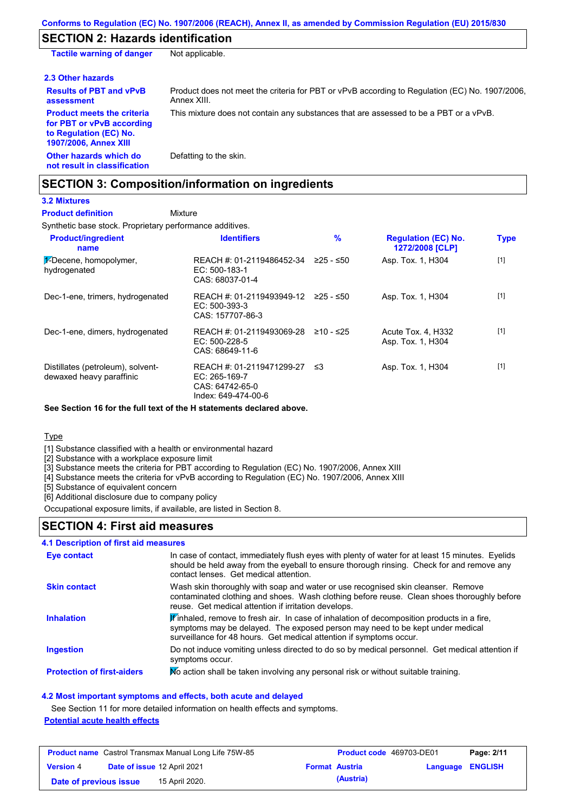### **SECTION 2: Hazards identification**

| <b>Tactile warning of danger</b>                                                                                         | Not applicable.                                                                                               |
|--------------------------------------------------------------------------------------------------------------------------|---------------------------------------------------------------------------------------------------------------|
| 2.3 Other hazards                                                                                                        |                                                                                                               |
| <b>Results of PBT and vPvB</b><br>assessment                                                                             | Product does not meet the criteria for PBT or vPvB according to Regulation (EC) No. 1907/2006.<br>Annex XIII. |
| <b>Product meets the criteria</b><br>for PBT or vPvB according<br>to Regulation (EC) No.<br><b>1907/2006, Annex XIII</b> | This mixture does not contain any substances that are assessed to be a PBT or a vPvB.                         |
| Other hazards which do<br>not result in classification                                                                   | Defatting to the skin.                                                                                        |

# **SECTION 3: Composition/information on ingredients**

# **3.2 Mixtures**

Mixture **Product definition**

Synthetic base stock. Proprietary performance additives.

| <b>Product/ingredient</b><br>name                             | <b>Identifiers</b>                                                                   | $\frac{9}{6}$ | <b>Regulation (EC) No.</b><br>1272/2008 [CLP] | <b>Type</b> |
|---------------------------------------------------------------|--------------------------------------------------------------------------------------|---------------|-----------------------------------------------|-------------|
| $\frac{1}{2}$ -Decene, homopolymer,<br>hydrogenated           | REACH #: 01-2119486452-34<br>$EC: 500-183-1$<br>CAS: 68037-01-4                      | 225 - ≤50     | Asp. Tox. 1, H304                             | $[1]$       |
| Dec-1-ene, trimers, hydrogenated                              | REACH #: 01-2119493949-12 ≥25 - ≤50<br>$EC: 500-393-3$<br>CAS: 157707-86-3           |               | Asp. Tox. 1, H304                             | $[1]$       |
| Dec-1-ene, dimers, hydrogenated                               | REACH #: 01-2119493069-28<br>$EC: 500-228-5$<br>CAS: 68649-11-6                      | ≥10 - ≤25     | Acute Tox. 4, H332<br>Asp. Tox. 1, H304       | $[1]$       |
| Distillates (petroleum), solvent-<br>dewaxed heavy paraffinic | REACH #: 01-2119471299-27<br>EC: 265-169-7<br>CAS: 64742-65-0<br>Index: 649-474-00-6 | ב≥            | Asp. Tox. 1, H304                             | $[1]$       |

**See Section 16 for the full text of the H statements declared above.**

**Type** 

[1] Substance classified with a health or environmental hazard

[2] Substance with a workplace exposure limit

[3] Substance meets the criteria for PBT according to Regulation (EC) No. 1907/2006, Annex XIII

[4] Substance meets the criteria for vPvB according to Regulation (EC) No. 1907/2006, Annex XIII

[5] Substance of equivalent concern

[6] Additional disclosure due to company policy

Occupational exposure limits, if available, are listed in Section 8.

### **SECTION 4: First aid measures**

### **4.1 Description of first aid measures**

| <b>Eye contact</b>                | In case of contact, immediately flush eyes with plenty of water for at least 15 minutes. Eyelids<br>should be held away from the eyeball to ensure thorough rinsing. Check for and remove any<br>contact lenses. Get medical attention.                   |
|-----------------------------------|-----------------------------------------------------------------------------------------------------------------------------------------------------------------------------------------------------------------------------------------------------------|
| <b>Skin contact</b>               | Wash skin thoroughly with soap and water or use recognised skin cleanser. Remove<br>contaminated clothing and shoes. Wash clothing before reuse. Clean shoes thoroughly before<br>reuse. Get medical attention if irritation develops.                    |
| <b>Inhalation</b>                 | <b>F</b> inhaled, remove to fresh air. In case of inhalation of decomposition products in a fire,<br>symptoms may be delayed. The exposed person may need to be kept under medical<br>surveillance for 48 hours. Get medical attention if symptoms occur. |
| <b>Ingestion</b>                  | Do not induce vomiting unless directed to do so by medical personnel. Get medical attention if<br>symptoms occur.                                                                                                                                         |
| <b>Protection of first-aiders</b> | No action shall be taken involving any personal risk or without suitable training.                                                                                                                                                                        |

**4.2 Most important symptoms and effects, both acute and delayed**

See Section 11 for more detailed information on health effects and symptoms. **Potential acute health effects**

|                        | <b>Product name</b> Castrol Transmax Manual Long Life 75W-85 | <b>Product code</b> 469703-DE01 |                  | Page: 2/11 |
|------------------------|--------------------------------------------------------------|---------------------------------|------------------|------------|
| <b>Version 4</b>       | Date of issue 12 April 2021                                  | <b>Format Austria</b>           | Language ENGLISH |            |
| Date of previous issue | 15 April 2020.                                               | (Austria)                       |                  |            |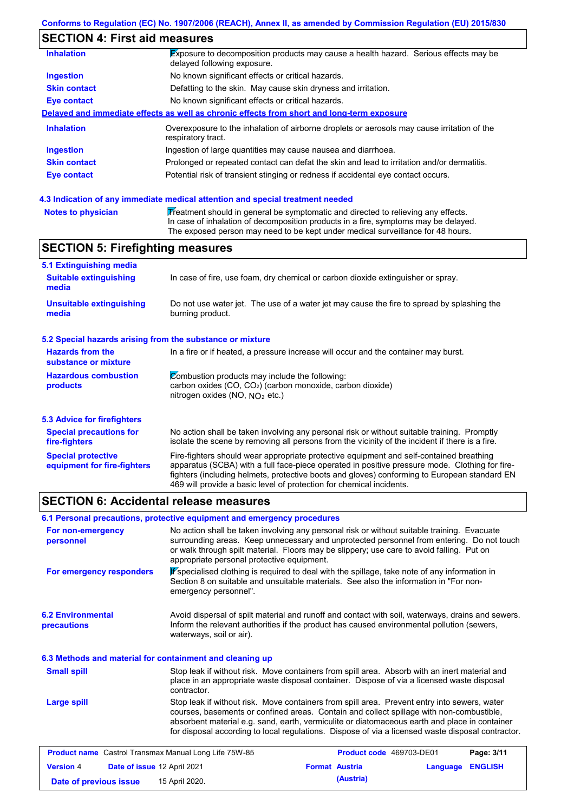# **SECTION 4: First aid measures**

| <b>Inhalation</b>   | Exposure to decomposition products may cause a health hazard. Serious effects may be<br>delayed following exposure. |
|---------------------|---------------------------------------------------------------------------------------------------------------------|
| <b>Ingestion</b>    | No known significant effects or critical hazards.                                                                   |
| <b>Skin contact</b> | Defatting to the skin. May cause skin dryness and irritation.                                                       |
| Eye contact         | No known significant effects or critical hazards.                                                                   |
|                     | Delayed and immediate effects as well as chronic effects from short and long-term exposure                          |
| <b>Inhalation</b>   | Overexposure to the inhalation of airborne droplets or aerosols may cause irritation of the<br>respiratory tract.   |
| <b>Ingestion</b>    | Ingestion of large quantities may cause nausea and diarrhoea.                                                       |
| <b>Skin contact</b> | Prolonged or repeated contact can defat the skin and lead to irritation and/or dermatitis.                          |
| Eye contact         | Potential risk of transient stinging or redness if accidental eye contact occurs.                                   |
|                     |                                                                                                                     |

### **4.3 Indication of any immediate medical attention and special treatment needed**

| Notes to physician | Treatment should in general be symptomatic and directed to relieving any effects.   |
|--------------------|-------------------------------------------------------------------------------------|
|                    | In case of inhalation of decomposition products in a fire, symptoms may be delayed. |
|                    | The exposed person may need to be kept under medical surveillance for 48 hours.     |

# **SECTION 5: Firefighting measures**

| 5.1 Extinguishing media                                                                                                                                    |                                                                                                                                                                                                                                                                                                                                                                   |  |
|------------------------------------------------------------------------------------------------------------------------------------------------------------|-------------------------------------------------------------------------------------------------------------------------------------------------------------------------------------------------------------------------------------------------------------------------------------------------------------------------------------------------------------------|--|
| <b>Suitable extinguishing</b><br>media                                                                                                                     | In case of fire, use foam, dry chemical or carbon dioxide extinguisher or spray.                                                                                                                                                                                                                                                                                  |  |
| <b>Unsuitable extinguishing</b><br>Do not use water jet. The use of a water jet may cause the fire to spread by splashing the<br>burning product.<br>media |                                                                                                                                                                                                                                                                                                                                                                   |  |
| 5.2 Special hazards arising from the substance or mixture                                                                                                  |                                                                                                                                                                                                                                                                                                                                                                   |  |
| <b>Hazards from the</b><br>substance or mixture                                                                                                            | In a fire or if heated, a pressure increase will occur and the container may burst.                                                                                                                                                                                                                                                                               |  |
| <b>Hazardous combustion</b><br>products                                                                                                                    | Combustion products may include the following:<br>carbon oxides (CO, CO <sub>2</sub> ) (carbon monoxide, carbon dioxide)<br>nitrogen oxides (NO, $NQ_2$ etc.)                                                                                                                                                                                                     |  |
| 5.3 Advice for firefighters                                                                                                                                |                                                                                                                                                                                                                                                                                                                                                                   |  |
| <b>Special precautions for</b><br>fire-fighters                                                                                                            | No action shall be taken involving any personal risk or without suitable training. Promptly<br>isolate the scene by removing all persons from the vicinity of the incident if there is a fire.                                                                                                                                                                    |  |
| <b>Special protective</b><br>equipment for fire-fighters                                                                                                   | Fire-fighters should wear appropriate protective equipment and self-contained breathing<br>apparatus (SCBA) with a full face-piece operated in positive pressure mode. Clothing for fire-<br>fighters (including helmets, protective boots and gloves) conforming to European standard EN<br>469 will provide a basic level of protection for chemical incidents. |  |

### **SECTION 6: Accidental release measures**

| 6.1 Personal precautions, protective equipment and emergency procedures |                                            |                                                                                                                                                                                                                                                                                                                                                                                                |          |                |
|-------------------------------------------------------------------------|--------------------------------------------|------------------------------------------------------------------------------------------------------------------------------------------------------------------------------------------------------------------------------------------------------------------------------------------------------------------------------------------------------------------------------------------------|----------|----------------|
| For non-emergency<br>personnel                                          | appropriate personal protective equipment. | No action shall be taken involving any personal risk or without suitable training. Evacuate<br>surrounding areas. Keep unnecessary and unprotected personnel from entering. Do not touch<br>or walk through spilt material. Floors may be slippery; use care to avoid falling. Put on                                                                                                          |          |                |
| For emergency responders                                                | emergency personnel".                      | K specialised clothing is required to deal with the spillage, take note of any information in<br>Section 8 on suitable and unsuitable materials. See also the information in "For non-                                                                                                                                                                                                         |          |                |
| <b>6.2 Environmental</b><br>precautions                                 | waterways, soil or air).                   | Avoid dispersal of spilt material and runoff and contact with soil, waterways, drains and sewers.<br>Inform the relevant authorities if the product has caused environmental pollution (sewers,                                                                                                                                                                                                |          |                |
| 6.3 Methods and material for containment and cleaning up                |                                            |                                                                                                                                                                                                                                                                                                                                                                                                |          |                |
| <b>Small spill</b>                                                      | contractor.                                | Stop leak if without risk. Move containers from spill area. Absorb with an inert material and<br>place in an appropriate waste disposal container. Dispose of via a licensed waste disposal                                                                                                                                                                                                    |          |                |
| Large spill                                                             |                                            | Stop leak if without risk. Move containers from spill area. Prevent entry into sewers, water<br>courses, basements or confined areas. Contain and collect spillage with non-combustible,<br>absorbent material e.g. sand, earth, vermiculite or diatomaceous earth and place in container<br>for disposal according to local regulations. Dispose of via a licensed waste disposal contractor. |          |                |
| <b>Product name</b> Castrol Transmax Manual Long Life 75W-85            |                                            | Product code 469703-DE01                                                                                                                                                                                                                                                                                                                                                                       |          | Page: 3/11     |
| <b>Version 4</b><br>Date of issue 12 April 2021                         |                                            | <b>Format Austria</b>                                                                                                                                                                                                                                                                                                                                                                          | Language | <b>ENGLISH</b> |

**Date of previous issue (Austria)** 15 April 2020.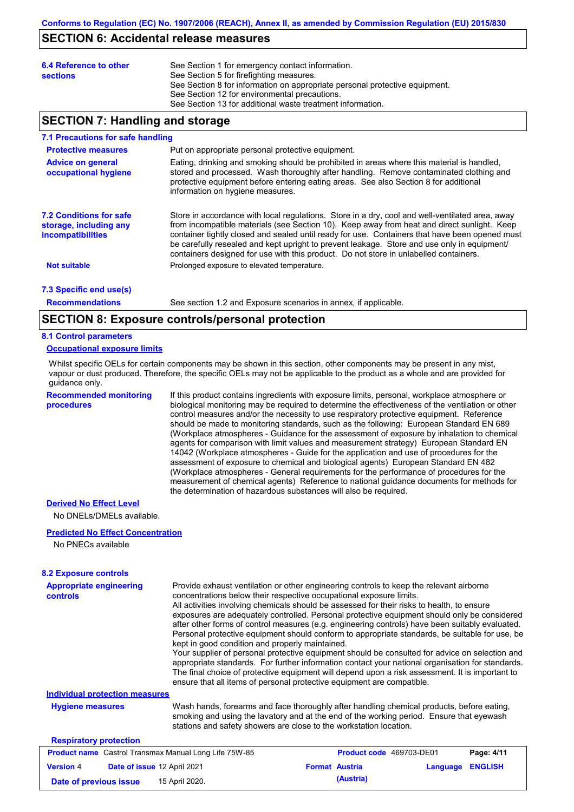### **SECTION 6: Accidental release measures**

| 6.4 Reference to other<br><b>sections</b> | See Section 1 for emergency contact information.<br>See Section 5 for firefighting measures.<br>See Section 8 for information on appropriate personal protective equipment.<br>See Section 12 for environmental precautions. |
|-------------------------------------------|------------------------------------------------------------------------------------------------------------------------------------------------------------------------------------------------------------------------------|
|                                           | See Section 13 for additional waste treatment information.                                                                                                                                                                   |

### **SECTION 7: Handling and storage**

#### **7.1 Precautions for safe handling**

| <b>Protective measures</b>                                                           | Put on appropriate personal protective equipment.                                                                                                                                                                                                                                                                                                                                                                                                                                       |
|--------------------------------------------------------------------------------------|-----------------------------------------------------------------------------------------------------------------------------------------------------------------------------------------------------------------------------------------------------------------------------------------------------------------------------------------------------------------------------------------------------------------------------------------------------------------------------------------|
| <b>Advice on general</b><br>occupational hygiene                                     | Eating, drinking and smoking should be prohibited in areas where this material is handled.<br>stored and processed. Wash thoroughly after handling. Remove contaminated clothing and<br>protective equipment before entering eating areas. See also Section 8 for additional<br>information on hygiene measures.                                                                                                                                                                        |
| <b>7.2 Conditions for safe</b><br>storage, including any<br><i>incompatibilities</i> | Store in accordance with local requiations. Store in a dry, cool and well-ventilated area, away<br>from incompatible materials (see Section 10). Keep away from heat and direct sunlight. Keep<br>container tightly closed and sealed until ready for use. Containers that have been opened must<br>be carefully resealed and kept upright to prevent leakage. Store and use only in equipment<br>containers designed for use with this product. Do not store in unlabelled containers. |
| <b>Not suitable</b>                                                                  | Prolonged exposure to elevated temperature.                                                                                                                                                                                                                                                                                                                                                                                                                                             |
| 7.3 Specific end use(s)                                                              |                                                                                                                                                                                                                                                                                                                                                                                                                                                                                         |

**Recommendations**

See section 1.2 and Exposure scenarios in annex, if applicable.

### **SECTION 8: Exposure controls/personal protection**

### **8.1 Control parameters**

#### **Occupational exposure limits**

Whilst specific OELs for certain components may be shown in this section, other components may be present in any mist, vapour or dust produced. Therefore, the specific OELs may not be applicable to the product as a whole and are provided for guidance only.

**Recommended monitoring procedures** If this product contains ingredients with exposure limits, personal, workplace atmosphere or biological monitoring may be required to determine the effectiveness of the ventilation or other control measures and/or the necessity to use respiratory protective equipment. Reference should be made to monitoring standards, such as the following: European Standard EN 689 (Workplace atmospheres - Guidance for the assessment of exposure by inhalation to chemical agents for comparison with limit values and measurement strategy) European Standard EN 14042 (Workplace atmospheres - Guide for the application and use of procedures for the assessment of exposure to chemical and biological agents) European Standard EN 482 (Workplace atmospheres - General requirements for the performance of procedures for the measurement of chemical agents) Reference to national guidance documents for methods for the determination of hazardous substances will also be required.

#### **Derived No Effect Level**

No DNELs/DMELs available.

#### **Predicted No Effect Concentration**

No PNECs available

#### **8.2 Exposure controls**

| <b>Appropriate engineering</b><br>controls            | Provide exhaust ventilation or other engineering controls to keep the relevant airborne<br>concentrations below their respective occupational exposure limits.<br>All activities involving chemicals should be assessed for their risks to health, to ensure<br>exposures are adequately controlled. Personal protective equipment should only be considered<br>after other forms of control measures (e.g. engineering controls) have been suitably evaluated.<br>Personal protective equipment should conform to appropriate standards, be suitable for use, be<br>kept in good condition and properly maintained.<br>Your supplier of personal protective equipment should be consulted for advice on selection and<br>appropriate standards. For further information contact your national organisation for standards.<br>The final choice of protective equipment will depend upon a risk assessment. It is important to<br>ensure that all items of personal protective equipment are compatible. |  |                          |          |                |
|-------------------------------------------------------|---------------------------------------------------------------------------------------------------------------------------------------------------------------------------------------------------------------------------------------------------------------------------------------------------------------------------------------------------------------------------------------------------------------------------------------------------------------------------------------------------------------------------------------------------------------------------------------------------------------------------------------------------------------------------------------------------------------------------------------------------------------------------------------------------------------------------------------------------------------------------------------------------------------------------------------------------------------------------------------------------------|--|--------------------------|----------|----------------|
| Individual protection measures                        |                                                                                                                                                                                                                                                                                                                                                                                                                                                                                                                                                                                                                                                                                                                                                                                                                                                                                                                                                                                                         |  |                          |          |                |
| <b>Hygiene measures</b>                               | Wash hands, forearms and face thoroughly after handling chemical products, before eating,<br>smoking and using the lavatory and at the end of the working period. Ensure that eyewash<br>stations and safety showers are close to the workstation location.                                                                                                                                                                                                                                                                                                                                                                                                                                                                                                                                                                                                                                                                                                                                             |  |                          |          |                |
| <b>Respiratory protection</b>                         |                                                                                                                                                                                                                                                                                                                                                                                                                                                                                                                                                                                                                                                                                                                                                                                                                                                                                                                                                                                                         |  |                          |          |                |
| Product name Castrol Transmax Manual Long Life 75W-85 |                                                                                                                                                                                                                                                                                                                                                                                                                                                                                                                                                                                                                                                                                                                                                                                                                                                                                                                                                                                                         |  | Product code 469703-DE01 |          | Page: 4/11     |
| <b>Version 4</b><br>Date of issue 12 April 2021       |                                                                                                                                                                                                                                                                                                                                                                                                                                                                                                                                                                                                                                                                                                                                                                                                                                                                                                                                                                                                         |  | <b>Format Austria</b>    | Language | <b>ENGLISH</b> |
| Date of previous issue                                | 15 April 2020.                                                                                                                                                                                                                                                                                                                                                                                                                                                                                                                                                                                                                                                                                                                                                                                                                                                                                                                                                                                          |  | (Austria)                |          |                |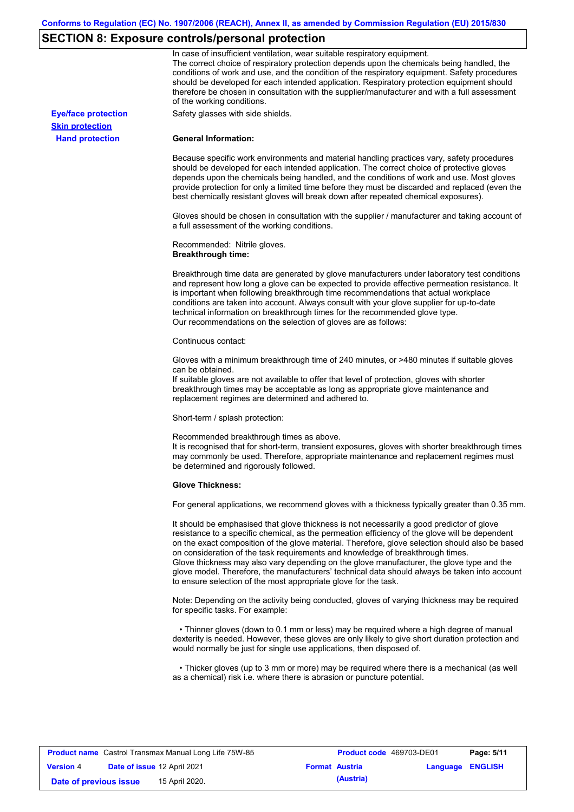# **SECTION 8: Exposure controls/personal protection**

|                            | In case of insufficient ventilation, wear suitable respiratory equipment.<br>The correct choice of respiratory protection depends upon the chemicals being handled, the<br>conditions of work and use, and the condition of the respiratory equipment. Safety procedures<br>should be developed for each intended application. Respiratory protection equipment should<br>therefore be chosen in consultation with the supplier/manufacturer and with a full assessment<br>of the working conditions.                                                                                                                                             |
|----------------------------|---------------------------------------------------------------------------------------------------------------------------------------------------------------------------------------------------------------------------------------------------------------------------------------------------------------------------------------------------------------------------------------------------------------------------------------------------------------------------------------------------------------------------------------------------------------------------------------------------------------------------------------------------|
| <b>Eye/face protection</b> | Safety glasses with side shields.                                                                                                                                                                                                                                                                                                                                                                                                                                                                                                                                                                                                                 |
| <b>Skin protection</b>     |                                                                                                                                                                                                                                                                                                                                                                                                                                                                                                                                                                                                                                                   |
| <b>Hand protection</b>     | <b>General Information:</b>                                                                                                                                                                                                                                                                                                                                                                                                                                                                                                                                                                                                                       |
|                            | Because specific work environments and material handling practices vary, safety procedures<br>should be developed for each intended application. The correct choice of protective gloves<br>depends upon the chemicals being handled, and the conditions of work and use. Most gloves<br>provide protection for only a limited time before they must be discarded and replaced (even the<br>best chemically resistant gloves will break down after repeated chemical exposures).                                                                                                                                                                  |
|                            | Gloves should be chosen in consultation with the supplier / manufacturer and taking account of<br>a full assessment of the working conditions.                                                                                                                                                                                                                                                                                                                                                                                                                                                                                                    |
|                            | Recommended: Nitrile gloves.<br><b>Breakthrough time:</b>                                                                                                                                                                                                                                                                                                                                                                                                                                                                                                                                                                                         |
|                            | Breakthrough time data are generated by glove manufacturers under laboratory test conditions<br>and represent how long a glove can be expected to provide effective permeation resistance. It<br>is important when following breakthrough time recommendations that actual workplace<br>conditions are taken into account. Always consult with your glove supplier for up-to-date<br>technical information on breakthrough times for the recommended glove type.<br>Our recommendations on the selection of gloves are as follows:                                                                                                                |
|                            | Continuous contact:                                                                                                                                                                                                                                                                                                                                                                                                                                                                                                                                                                                                                               |
|                            | Gloves with a minimum breakthrough time of 240 minutes, or >480 minutes if suitable gloves<br>can be obtained.                                                                                                                                                                                                                                                                                                                                                                                                                                                                                                                                    |
|                            | If suitable gloves are not available to offer that level of protection, gloves with shorter<br>breakthrough times may be acceptable as long as appropriate glove maintenance and<br>replacement regimes are determined and adhered to.                                                                                                                                                                                                                                                                                                                                                                                                            |
|                            | Short-term / splash protection:                                                                                                                                                                                                                                                                                                                                                                                                                                                                                                                                                                                                                   |
|                            | Recommended breakthrough times as above.<br>It is recognised that for short-term, transient exposures, gloves with shorter breakthrough times<br>may commonly be used. Therefore, appropriate maintenance and replacement regimes must<br>be determined and rigorously followed.                                                                                                                                                                                                                                                                                                                                                                  |
|                            | <b>Glove Thickness:</b>                                                                                                                                                                                                                                                                                                                                                                                                                                                                                                                                                                                                                           |
|                            | For general applications, we recommend gloves with a thickness typically greater than 0.35 mm.                                                                                                                                                                                                                                                                                                                                                                                                                                                                                                                                                    |
|                            | It should be emphasised that glove thickness is not necessarily a good predictor of glove<br>resistance to a specific chemical, as the permeation efficiency of the glove will be dependent<br>on the exact composition of the glove material. Therefore, glove selection should also be based<br>on consideration of the task requirements and knowledge of breakthrough times.<br>Glove thickness may also vary depending on the glove manufacturer, the glove type and the<br>glove model. Therefore, the manufacturers' technical data should always be taken into account<br>to ensure selection of the most appropriate glove for the task. |
|                            | Note: Depending on the activity being conducted, gloves of varying thickness may be required<br>for specific tasks. For example:                                                                                                                                                                                                                                                                                                                                                                                                                                                                                                                  |
|                            | • Thinner gloves (down to 0.1 mm or less) may be required where a high degree of manual<br>dexterity is needed. However, these gloves are only likely to give short duration protection and<br>would normally be just for single use applications, then disposed of.                                                                                                                                                                                                                                                                                                                                                                              |
|                            | • Thicker gloves (up to 3 mm or more) may be required where there is a mechanical (as well<br>as a chemical) risk i.e. where there is abrasion or puncture potential.                                                                                                                                                                                                                                                                                                                                                                                                                                                                             |

| <b>Product name</b> Castrol Transmax Manual Long Life 75W-85 |  |                             | <b>Product code</b> 469703-DE01 | Page: 5/11            |                         |  |
|--------------------------------------------------------------|--|-----------------------------|---------------------------------|-----------------------|-------------------------|--|
| <b>Version 4</b>                                             |  | Date of issue 12 April 2021 |                                 | <b>Format Austria</b> | <b>Language ENGLISH</b> |  |
| Date of previous issue                                       |  | 15 April 2020.              |                                 | (Austria)             |                         |  |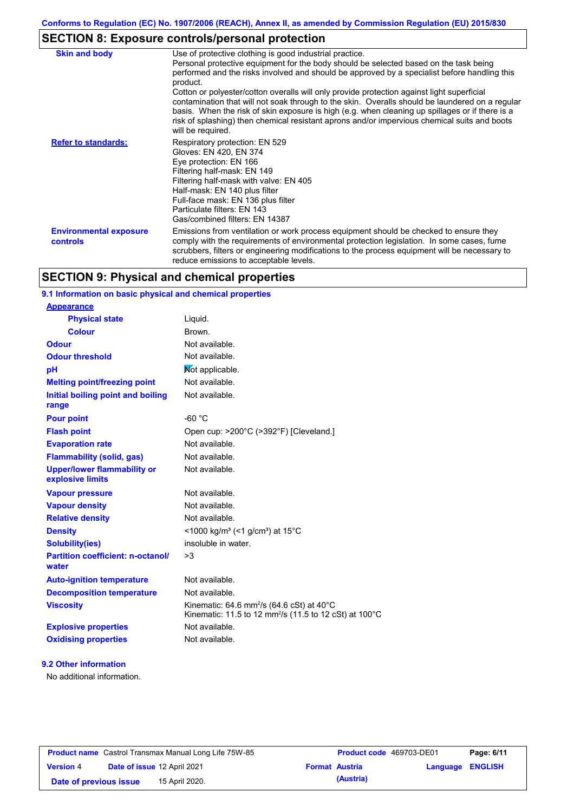# **SECTION 8: Exposure controls/personal protection**

| <b>Skin and body</b>                             | Use of protective clothing is good industrial practice.<br>Personal protective equipment for the body should be selected based on the task being<br>performed and the risks involved and should be approved by a specialist before handling this<br>product.<br>Cotton or polyester/cotton overalls will only provide protection against light superficial<br>contamination that will not soak through to the skin. Overalls should be laundered on a regular<br>basis. When the risk of skin exposure is high (e.g. when cleaning up spillages or if there is a<br>risk of splashing) then chemical resistant aprons and/or impervious chemical suits and boots<br>will be required. |
|--------------------------------------------------|---------------------------------------------------------------------------------------------------------------------------------------------------------------------------------------------------------------------------------------------------------------------------------------------------------------------------------------------------------------------------------------------------------------------------------------------------------------------------------------------------------------------------------------------------------------------------------------------------------------------------------------------------------------------------------------|
| <b>Refer to standards:</b>                       | Respiratory protection: EN 529<br>Gloves: EN 420, EN 374<br>Eye protection: EN 166<br>Filtering half-mask: EN 149<br>Filtering half-mask with valve: EN 405<br>Half-mask: EN 140 plus filter<br>Full-face mask: EN 136 plus filter<br>Particulate filters: EN 143<br>Gas/combined filters: EN 14387                                                                                                                                                                                                                                                                                                                                                                                   |
| <b>Environmental exposure</b><br><b>controls</b> | Emissions from ventilation or work process equipment should be checked to ensure they<br>comply with the requirements of environmental protection legislation. In some cases, fume<br>scrubbers, filters or engineering modifications to the process equipment will be necessary to<br>reduce emissions to acceptable levels.                                                                                                                                                                                                                                                                                                                                                         |

# **SECTION 9: Physical and chemical properties**

### **9.1 Information on basic physical and chemical properties**

| <b>Appearance</b>                                      |                                                                                                                                       |
|--------------------------------------------------------|---------------------------------------------------------------------------------------------------------------------------------------|
| <b>Physical state</b>                                  | Liquid.                                                                                                                               |
| <b>Colour</b>                                          | Brown.                                                                                                                                |
| <b>Odour</b>                                           | Not available.                                                                                                                        |
| <b>Odour threshold</b>                                 | Not available.                                                                                                                        |
| pH                                                     | Not applicable.                                                                                                                       |
| <b>Melting point/freezing point</b>                    | Not available.                                                                                                                        |
| Initial boiling point and boiling<br>range             | Not available.                                                                                                                        |
| <b>Pour point</b>                                      | $-60 °C$                                                                                                                              |
| <b>Flash point</b>                                     | Open cup: >200°C (>392°F) [Cleveland.]                                                                                                |
| <b>Evaporation rate</b>                                | Not available.                                                                                                                        |
| <b>Flammability (solid, gas)</b>                       | Not available.                                                                                                                        |
| <b>Upper/lower flammability or</b><br>explosive limits | Not available.                                                                                                                        |
| <b>Vapour pressure</b>                                 | Not available.                                                                                                                        |
| <b>Vapour density</b>                                  | Not available.                                                                                                                        |
| <b>Relative density</b>                                | Not available.                                                                                                                        |
| <b>Density</b>                                         | <1000 kg/m <sup>3</sup> (<1 g/cm <sup>3</sup> ) at 15 <sup>°</sup> C                                                                  |
| <b>Solubility(ies)</b>                                 | insoluble in water.                                                                                                                   |
| <b>Partition coefficient: n-octanol/</b><br>water      | >3                                                                                                                                    |
| <b>Auto-ignition temperature</b>                       | Not available.                                                                                                                        |
| <b>Decomposition temperature</b>                       | Not available.                                                                                                                        |
| <b>Viscosity</b>                                       | Kinematic: 64.6 mm <sup>2</sup> /s (64.6 cSt) at $40^{\circ}$ C<br>Kinematic: 11.5 to 12 mm <sup>2</sup> /s (11.5 to 12 cSt) at 100°C |
| <b>Explosive properties</b>                            | Not available.                                                                                                                        |
| <b>Oxidising properties</b>                            | Not available.                                                                                                                        |

#### **9.2 Other information**

No additional information.

| <b>Product name</b> Castrol Transmax Manual Long Life 75W-85 |  |                             | <b>Product code</b> 469703-DE01 |                       | Page: 6/11              |  |
|--------------------------------------------------------------|--|-----------------------------|---------------------------------|-----------------------|-------------------------|--|
| <b>Version 4</b>                                             |  | Date of issue 12 April 2021 |                                 | <b>Format Austria</b> | <b>Language ENGLISH</b> |  |
| Date of previous issue                                       |  | 15 April 2020.              |                                 | (Austria)             |                         |  |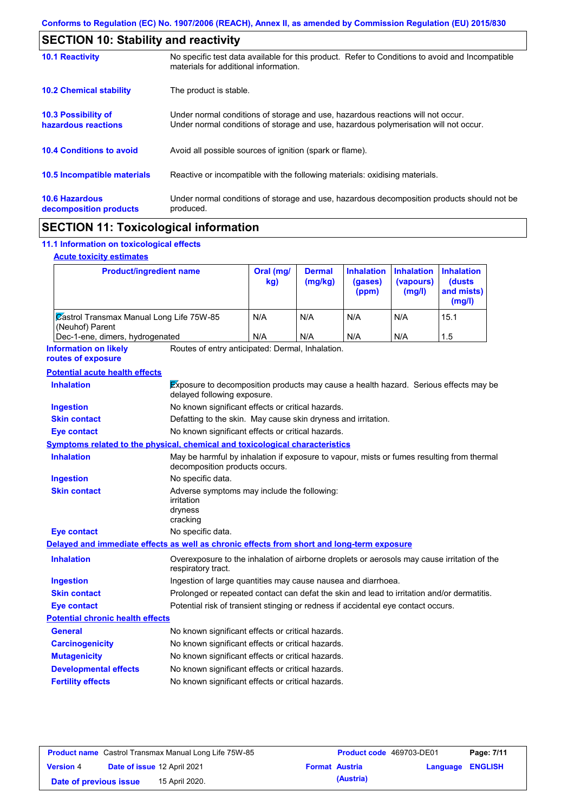|                                                   | <b>SECTION 10: Stability and reactivity</b>                                                                                                                             |  |  |  |
|---------------------------------------------------|-------------------------------------------------------------------------------------------------------------------------------------------------------------------------|--|--|--|
| <b>10.1 Reactivity</b>                            | No specific test data available for this product. Refer to Conditions to avoid and Incompatible<br>materials for additional information.                                |  |  |  |
| <b>10.2 Chemical stability</b>                    | The product is stable.                                                                                                                                                  |  |  |  |
| <b>10.3 Possibility of</b><br>hazardous reactions | Under normal conditions of storage and use, hazardous reactions will not occur.<br>Under normal conditions of storage and use, hazardous polymerisation will not occur. |  |  |  |
| <b>10.4 Conditions to avoid</b>                   | Avoid all possible sources of ignition (spark or flame).                                                                                                                |  |  |  |
| 10.5 Incompatible materials                       | Reactive or incompatible with the following materials: oxidising materials.                                                                                             |  |  |  |
| <b>10.6 Hazardous</b><br>decomposition products   | Under normal conditions of storage and use, hazardous decomposition products should not be<br>produced.                                                                 |  |  |  |
|                                                   |                                                                                                                                                                         |  |  |  |

# **SECTION 11: Toxicological information**

### **11.1 Information on toxicological effects**

#### **Acute toxicity estimates**

| <b>Product/ingredient name</b>                                     | Oral (mg/<br>kg) | <b>Dermal</b><br>(mg/kg) | <b>Inhalation</b><br>(gases)<br>(ppm) | <b>Inhalation Inhalation</b><br>(vapours)<br>(mg/l) | <b>(dusts)</b><br>and mists)<br>(mg/l) |
|--------------------------------------------------------------------|------------------|--------------------------|---------------------------------------|-----------------------------------------------------|----------------------------------------|
| <b>Zastrol Transmax Manual Long Life 75W-85</b><br>(Neuhof) Parent | N/A              | N/A                      | N/A                                   | N/A                                                 | 15.1                                   |
| Dec-1-ene, dimers, hydrogenated                                    | N/A              | N/A                      | N/A                                   | N/A                                                 | 1.5                                    |

Routes of entry anticipated: Dermal, Inhalation. **Information on likely routes of exposure**

| <b>Potential acute health effects</b>   |                                                                                                                             |  |  |  |
|-----------------------------------------|-----------------------------------------------------------------------------------------------------------------------------|--|--|--|
| <b>Inhalation</b>                       | Exposure to decomposition products may cause a health hazard. Serious effects may be<br>delayed following exposure.         |  |  |  |
| <b>Ingestion</b>                        | No known significant effects or critical hazards.                                                                           |  |  |  |
| <b>Skin contact</b>                     | Defatting to the skin. May cause skin dryness and irritation.                                                               |  |  |  |
| <b>Eye contact</b>                      | No known significant effects or critical hazards.                                                                           |  |  |  |
|                                         | Symptoms related to the physical, chemical and toxicological characteristics                                                |  |  |  |
| <b>Inhalation</b>                       | May be harmful by inhalation if exposure to vapour, mists or fumes resulting from thermal<br>decomposition products occurs. |  |  |  |
| <b>Ingestion</b>                        | No specific data.                                                                                                           |  |  |  |
| <b>Skin contact</b>                     | Adverse symptoms may include the following:<br>irritation<br>dryness<br>cracking                                            |  |  |  |
| <b>Eye contact</b>                      | No specific data.                                                                                                           |  |  |  |
|                                         | Delayed and immediate effects as well as chronic effects from short and long-term exposure                                  |  |  |  |
| <b>Inhalation</b>                       | Overexposure to the inhalation of airborne droplets or aerosols may cause irritation of the<br>respiratory tract.           |  |  |  |
| <b>Ingestion</b>                        | Ingestion of large quantities may cause nausea and diarrhoea.                                                               |  |  |  |
| <b>Skin contact</b>                     | Prolonged or repeated contact can defat the skin and lead to irritation and/or dermatitis.                                  |  |  |  |
| <b>Eye contact</b>                      | Potential risk of transient stinging or redness if accidental eye contact occurs.                                           |  |  |  |
| <b>Potential chronic health effects</b> |                                                                                                                             |  |  |  |
| <b>General</b>                          | No known significant effects or critical hazards.                                                                           |  |  |  |
| <b>Carcinogenicity</b>                  | No known significant effects or critical hazards.                                                                           |  |  |  |
| <b>Mutagenicity</b>                     | No known significant effects or critical hazards.                                                                           |  |  |  |
| <b>Developmental effects</b>            | No known significant effects or critical hazards.                                                                           |  |  |  |
| <b>Fertility effects</b>                | No known significant effects or critical hazards.                                                                           |  |  |  |

| <b>Product name</b> Castrol Transmax Manual Long Life 75W-85 |  |                             | <b>Product code</b> 469703-DE01 | Page: 7/11            |                         |  |
|--------------------------------------------------------------|--|-----------------------------|---------------------------------|-----------------------|-------------------------|--|
| <b>Version 4</b>                                             |  | Date of issue 12 April 2021 |                                 | <b>Format Austria</b> | <b>Language ENGLISH</b> |  |
| Date of previous issue                                       |  | 15 April 2020.              |                                 | (Austria)             |                         |  |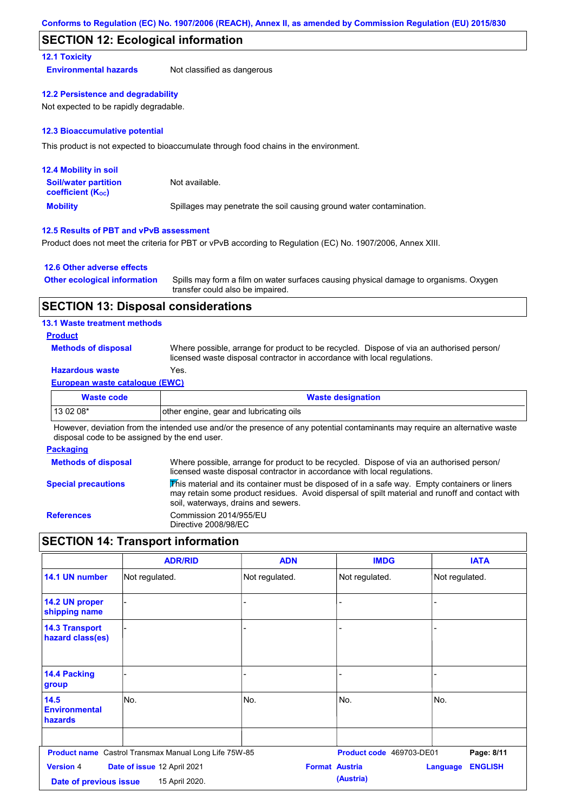### **SECTION 12: Ecological information**

### **12.1 Toxicity**

**Environmental hazards** Not classified as dangerous

#### **12.2 Persistence and degradability**

Not expected to be rapidly degradable.

#### **12.3 Bioaccumulative potential**

This product is not expected to bioaccumulate through food chains in the environment.

| <b>12.4 Mobility in soil</b>                                  |                                                                      |
|---------------------------------------------------------------|----------------------------------------------------------------------|
| <b>Soil/water partition</b><br>coefficient (K <sub>oc</sub> ) | Not available.                                                       |
| <b>Mobility</b>                                               | Spillages may penetrate the soil causing ground water contamination. |

#### **12.5 Results of PBT and vPvB assessment**

Product does not meet the criteria for PBT or vPvB according to Regulation (EC) No. 1907/2006, Annex XIII.

#### **12.6 Other adverse effects**

| <b>Other ecological information</b> | Spills may form a film on water surfaces causing physical damage to organisms. Oxygen |
|-------------------------------------|---------------------------------------------------------------------------------------|
|                                     | transfer could also be impaired.                                                      |

### **SECTION 13: Disposal considerations**

#### **13.1 Waste treatment methods**

#### **Product**

**Methods of disposal**

Where possible, arrange for product to be recycled. Dispose of via an authorised person/ licensed waste disposal contractor in accordance with local regulations.

### **Hazardous waste** Yes.

#### **European waste catalogue (EWC)**

| <b>Waste code</b> | <b>Waste designation</b>                |
|-------------------|-----------------------------------------|
| $130208*$         | other engine, gear and lubricating oils |

However, deviation from the intended use and/or the presence of any potential contaminants may require an alternative waste disposal code to be assigned by the end user.

#### **Packaging**

| <b>Methods of disposal</b> | Where possible, arrange for product to be recycled. Dispose of via an authorised person/<br>licensed waste disposal contractor in accordance with local regulations.                                                                                        |
|----------------------------|-------------------------------------------------------------------------------------------------------------------------------------------------------------------------------------------------------------------------------------------------------------|
| <b>Special precautions</b> | $\overline{\text{This}}$ material and its container must be disposed of in a safe way. Empty containers or liners<br>may retain some product residues. Avoid dispersal of spilt material and runoff and contact with<br>soil, waterways, drains and sewers. |
| <b>References</b>          | Commission 2014/955/EU<br>Directive 2008/98/EC                                                                                                                                                                                                              |

# **SECTION 14: Transport information**

|                                            | <b>ADR/RID</b>                                        | <b>ADN</b>     | <b>IMDG</b>                        | <b>IATA</b>                       |
|--------------------------------------------|-------------------------------------------------------|----------------|------------------------------------|-----------------------------------|
| 14.1 UN number                             | Not regulated.                                        | Not regulated. | Not regulated.                     | Not regulated.                    |
| 14.2 UN proper<br>shipping name            |                                                       | L.             |                                    |                                   |
| <b>14.3 Transport</b><br>hazard class(es)  |                                                       |                |                                    |                                   |
| <b>14.4 Packing</b><br>group               |                                                       |                |                                    |                                   |
| 14.5<br><b>Environmental</b><br>hazards    | No.                                                   | No.            | No.                                | No.                               |
|                                            | Product name Castrol Transmax Manual Long Life 75W-85 |                | Product code 469703-DE01           | Page: 8/11                        |
| <b>Version 4</b><br>Date of previous issue | Date of issue 12 April 2021<br>15 April 2020.         |                | <b>Format Austria</b><br>(Austria) | <b>ENGLISH</b><br><b>Language</b> |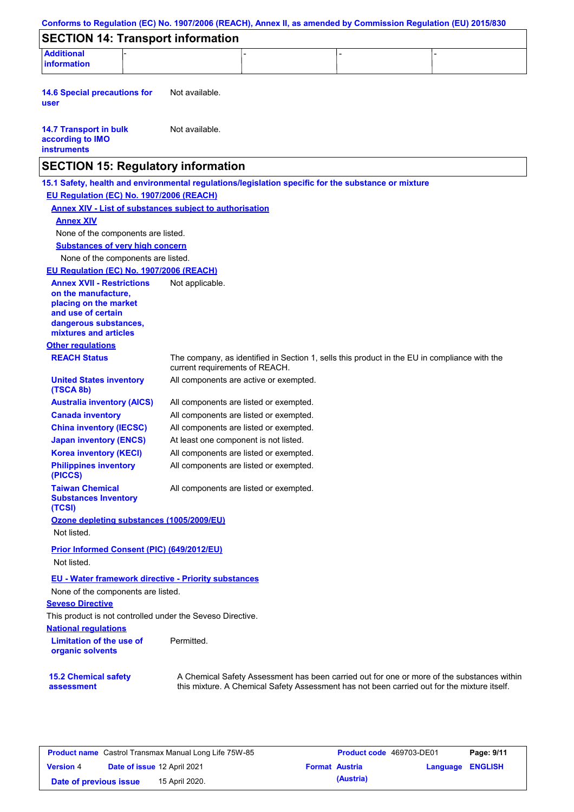| <b>SECTION 14: Transport information</b>                                                            |                                       |                                        |                                                                                              |  |
|-----------------------------------------------------------------------------------------------------|---------------------------------------|----------------------------------------|----------------------------------------------------------------------------------------------|--|
| <b>Additional</b>                                                                                   |                                       |                                        |                                                                                              |  |
| information                                                                                         |                                       |                                        |                                                                                              |  |
| <b>14.6 Special precautions for</b><br>user                                                         | Not available.                        |                                        |                                                                                              |  |
| <b>14.7 Transport in bulk</b><br>according to IMO<br><b>instruments</b>                             | Not available.                        |                                        |                                                                                              |  |
| <b>SECTION 15: Regulatory information</b>                                                           |                                       |                                        |                                                                                              |  |
| 15.1 Safety, health and environmental regulations/legislation specific for the substance or mixture |                                       |                                        |                                                                                              |  |
| EU Regulation (EC) No. 1907/2006 (REACH)                                                            |                                       |                                        |                                                                                              |  |
| <b>Annex XIV - List of substances subject to authorisation</b>                                      |                                       |                                        |                                                                                              |  |
| <b>Annex XIV</b>                                                                                    |                                       |                                        |                                                                                              |  |
| None of the components are listed.                                                                  |                                       |                                        |                                                                                              |  |
| <b>Substances of very high concern</b>                                                              |                                       |                                        |                                                                                              |  |
| None of the components are listed.                                                                  |                                       |                                        |                                                                                              |  |
| EU Regulation (EC) No. 1907/2006 (REACH)                                                            |                                       |                                        |                                                                                              |  |
| <b>Annex XVII - Restrictions</b><br>on the manufacture.                                             | Not applicable.                       |                                        |                                                                                              |  |
| placing on the market                                                                               |                                       |                                        |                                                                                              |  |
| and use of certain                                                                                  |                                       |                                        |                                                                                              |  |
| dangerous substances,<br>mixtures and articles                                                      |                                       |                                        |                                                                                              |  |
| <b>Other regulations</b>                                                                            |                                       |                                        |                                                                                              |  |
| <b>REACH Status</b>                                                                                 | current requirements of REACH.        |                                        | The company, as identified in Section 1, sells this product in the EU in compliance with the |  |
| <b>United States inventory</b><br>(TSCA 8b)                                                         |                                       | All components are active or exempted. |                                                                                              |  |
| <b>Australia inventory (AICS)</b>                                                                   |                                       | All components are listed or exempted. |                                                                                              |  |
| <b>Canada inventory</b>                                                                             |                                       | All components are listed or exempted. |                                                                                              |  |
| <b>China inventory (IECSC)</b>                                                                      |                                       | All components are listed or exempted. |                                                                                              |  |
| <b>Japan inventory (ENCS)</b>                                                                       | At least one component is not listed. |                                        |                                                                                              |  |
| <b>Korea inventory (KECI)</b>                                                                       |                                       | All components are listed or exempted. |                                                                                              |  |
| <b>Philippines inventory</b><br>(PICCS)                                                             |                                       | All components are listed or exempted. |                                                                                              |  |
| <b>Taiwan Chemical</b><br><b>Substances Inventory</b><br>(TCSI)                                     |                                       | All components are listed or exempted. |                                                                                              |  |
| Ozone depleting substances (1005/2009/EU)<br>Not listed.                                            |                                       |                                        |                                                                                              |  |
| Prior Informed Consent (PIC) (649/2012/EU)<br>Not listed.                                           |                                       |                                        |                                                                                              |  |
| <b>EU - Water framework directive - Priority substances</b>                                         |                                       |                                        |                                                                                              |  |
| None of the components are listed.                                                                  |                                       |                                        |                                                                                              |  |
| <b>Seveso Directive</b>                                                                             |                                       |                                        |                                                                                              |  |
| This product is not controlled under the Seveso Directive.                                          |                                       |                                        |                                                                                              |  |
| <b>National requlations</b><br><b>Limitation of the use of</b>                                      | Permitted.                            |                                        |                                                                                              |  |
| organic solvents                                                                                    |                                       |                                        |                                                                                              |  |
| <b>15.2 Chemical safety</b>                                                                         |                                       |                                        | A Chemical Safety Assessment has been carried out for one or more of the substances within   |  |

| <b>Product name</b> Castrol Transmax Manual Long Life 75W-85 |                             | Product code 469703-DE01 |                       | Page: 9/11 |                         |  |
|--------------------------------------------------------------|-----------------------------|--------------------------|-----------------------|------------|-------------------------|--|
| <b>Version 4</b>                                             | Date of issue 12 April 2021 |                          | <b>Format Austria</b> |            | <b>Language ENGLISH</b> |  |
| Date of previous issue                                       |                             | 15 April 2020.           |                       | (Austria)  |                         |  |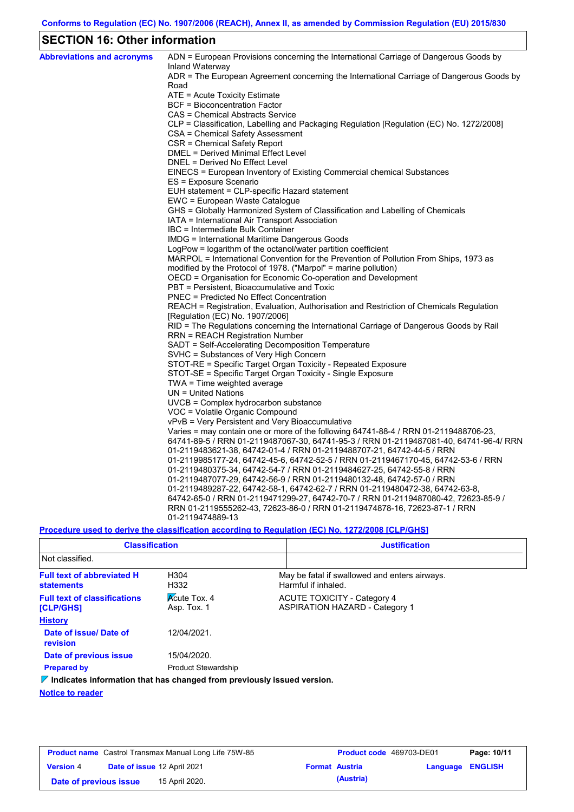# **SECTION 16: Other information**

| <b>Abbreviations and acronyms</b> | ADN = European Provisions concerning the International Carriage of Dangerous Goods by                       |
|-----------------------------------|-------------------------------------------------------------------------------------------------------------|
|                                   | Inland Waterway<br>ADR = The European Agreement concerning the International Carriage of Dangerous Goods by |
|                                   | Road                                                                                                        |
|                                   | ATE = Acute Toxicity Estimate                                                                               |
|                                   | <b>BCF</b> = Bioconcentration Factor                                                                        |
|                                   | CAS = Chemical Abstracts Service                                                                            |
|                                   | CLP = Classification, Labelling and Packaging Regulation [Regulation (EC) No. 1272/2008]                    |
|                                   | CSA = Chemical Safety Assessment                                                                            |
|                                   | CSR = Chemical Safety Report                                                                                |
|                                   | DMEL = Derived Minimal Effect Level                                                                         |
|                                   | DNEL = Derived No Effect Level                                                                              |
|                                   | EINECS = European Inventory of Existing Commercial chemical Substances                                      |
|                                   | ES = Exposure Scenario                                                                                      |
|                                   | EUH statement = CLP-specific Hazard statement                                                               |
|                                   | EWC = European Waste Catalogue                                                                              |
|                                   | GHS = Globally Harmonized System of Classification and Labelling of Chemicals                               |
|                                   | IATA = International Air Transport Association<br>IBC = Intermediate Bulk Container                         |
|                                   | IMDG = International Maritime Dangerous Goods                                                               |
|                                   | LogPow = logarithm of the octanol/water partition coefficient                                               |
|                                   | MARPOL = International Convention for the Prevention of Pollution From Ships, 1973 as                       |
|                                   | modified by the Protocol of 1978. ("Marpol" = marine pollution)                                             |
|                                   | OECD = Organisation for Economic Co-operation and Development                                               |
|                                   | PBT = Persistent, Bioaccumulative and Toxic                                                                 |
|                                   | <b>PNEC = Predicted No Effect Concentration</b>                                                             |
|                                   | REACH = Registration, Evaluation, Authorisation and Restriction of Chemicals Regulation                     |
|                                   | [Regulation (EC) No. 1907/2006]                                                                             |
|                                   | RID = The Regulations concerning the International Carriage of Dangerous Goods by Rail                      |
|                                   | <b>RRN = REACH Registration Number</b>                                                                      |
|                                   | SADT = Self-Accelerating Decomposition Temperature                                                          |
|                                   | SVHC = Substances of Very High Concern                                                                      |
|                                   | STOT-RE = Specific Target Organ Toxicity - Repeated Exposure                                                |
|                                   | STOT-SE = Specific Target Organ Toxicity - Single Exposure                                                  |
|                                   | TWA = Time weighted average                                                                                 |
|                                   | $UN = United Nations$                                                                                       |
|                                   | UVCB = Complex hydrocarbon substance                                                                        |
|                                   | VOC = Volatile Organic Compound                                                                             |
|                                   | vPvB = Very Persistent and Very Bioaccumulative                                                             |
|                                   | Varies = may contain one or more of the following 64741-88-4 / RRN 01-2119488706-23,                        |
|                                   | 64741-89-5 / RRN 01-2119487067-30, 64741-95-3 / RRN 01-2119487081-40, 64741-96-4/ RRN                       |
|                                   | 01-2119483621-38, 64742-01-4 / RRN 01-2119488707-21, 64742-44-5 / RRN                                       |
|                                   | 01-2119985177-24, 64742-45-6, 64742-52-5 / RRN 01-2119467170-45, 64742-53-6 / RRN                           |
|                                   | 01-2119480375-34, 64742-54-7 / RRN 01-2119484627-25, 64742-55-8 / RRN                                       |
|                                   | 01-2119487077-29, 64742-56-9 / RRN 01-2119480132-48, 64742-57-0 / RRN                                       |
|                                   | 01-2119489287-22, 64742-58-1, 64742-62-7 / RRN 01-2119480472-38, 64742-63-8,                                |
|                                   | 64742-65-0 / RRN 01-2119471299-27, 64742-70-7 / RRN 01-2119487080-42, 72623-85-9 /                          |
|                                   | RRN 01-2119555262-43, 72623-86-0 / RRN 01-2119474878-16, 72623-87-1 / RRN                                   |
|                                   | 01-2119474889-13                                                                                            |

**Procedure used to derive the classification according to Regulation (EC) No. 1272/2008 [CLP/GHS]**

| <b>Classification</b>                                                        |                                    | <b>Justification</b> |                                                                             |  |  |
|------------------------------------------------------------------------------|------------------------------------|----------------------|-----------------------------------------------------------------------------|--|--|
| Not classified.                                                              |                                    |                      |                                                                             |  |  |
| <b>Full text of abbreviated H</b><br><b>statements</b>                       | H304<br>H332                       |                      | May be fatal if swallowed and enters airways.<br>Harmful if inhaled.        |  |  |
| <b>Full text of classifications</b><br><b>[CLP/GHS]</b>                      | <b>Acute Tox. 4</b><br>Asp. Tox. 1 |                      | <b>ACUTE TOXICITY - Category 4</b><br><b>ASPIRATION HAZARD - Category 1</b> |  |  |
| <b>History</b>                                                               |                                    |                      |                                                                             |  |  |
| Date of issue/ Date of<br>revision                                           | 12/04/2021                         |                      |                                                                             |  |  |
| Date of previous issue                                                       | 15/04/2020.                        |                      |                                                                             |  |  |
| <b>Prepared by</b>                                                           | <b>Product Stewardship</b>         |                      |                                                                             |  |  |
| $\sim$ Indicatos information that has changed from proviously issued version |                                    |                      |                                                                             |  |  |

**Indicates information that has changed from previously issued version.**

### **Notice to reader**

|                        |                             | <b>Product name</b> Castrol Transmax Manual Long Life 75W-85 | <b>Product code</b> 469703-DE01 |                         | Page: 10/11 |
|------------------------|-----------------------------|--------------------------------------------------------------|---------------------------------|-------------------------|-------------|
| <b>Version 4</b>       | Date of issue 12 April 2021 |                                                              | <b>Format Austria</b>           | <b>Language ENGLISH</b> |             |
| Date of previous issue |                             | 15 April 2020.                                               | (Austria)                       |                         |             |